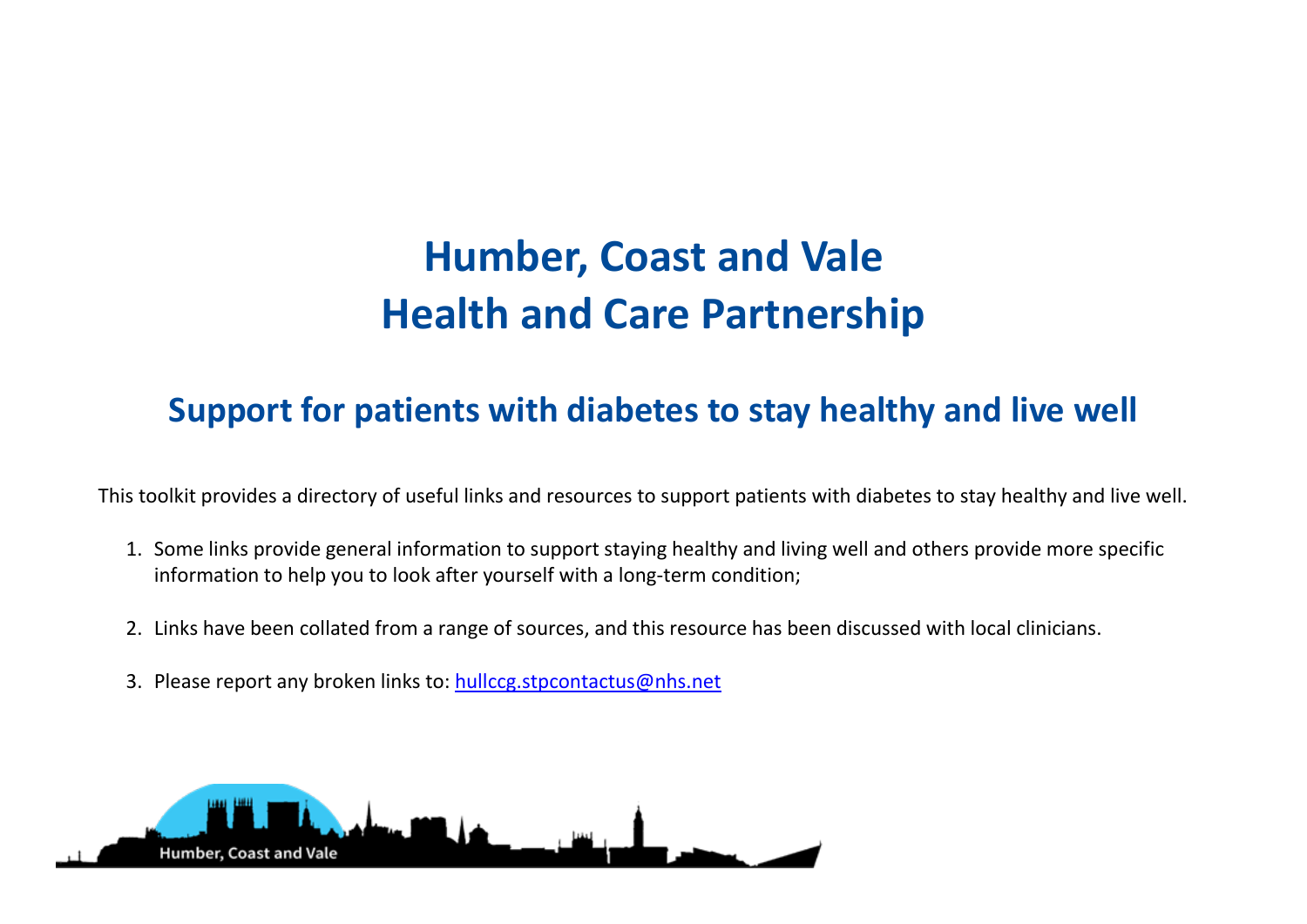## **Humber, Coast and Vale Health and Care Partnership**

## **Support for patients with diabetes to stay healthy and live well**

This toolkit provides a directory of useful links and resources to support patients with diabetes to stay healthy and live well.

- 1. Some links provide general information to support staying healthy and living well and others provide more specific information to help you to look after yourself with a long-term condition;
- 2. Links have been collated from a range of sources, and this resource has been discussed with local clinicians.
- 3. Please report any broken links to: [hullccg.stpcontactus@nhs.net](mailto:hullccg.stpcontactus@nhs.net)

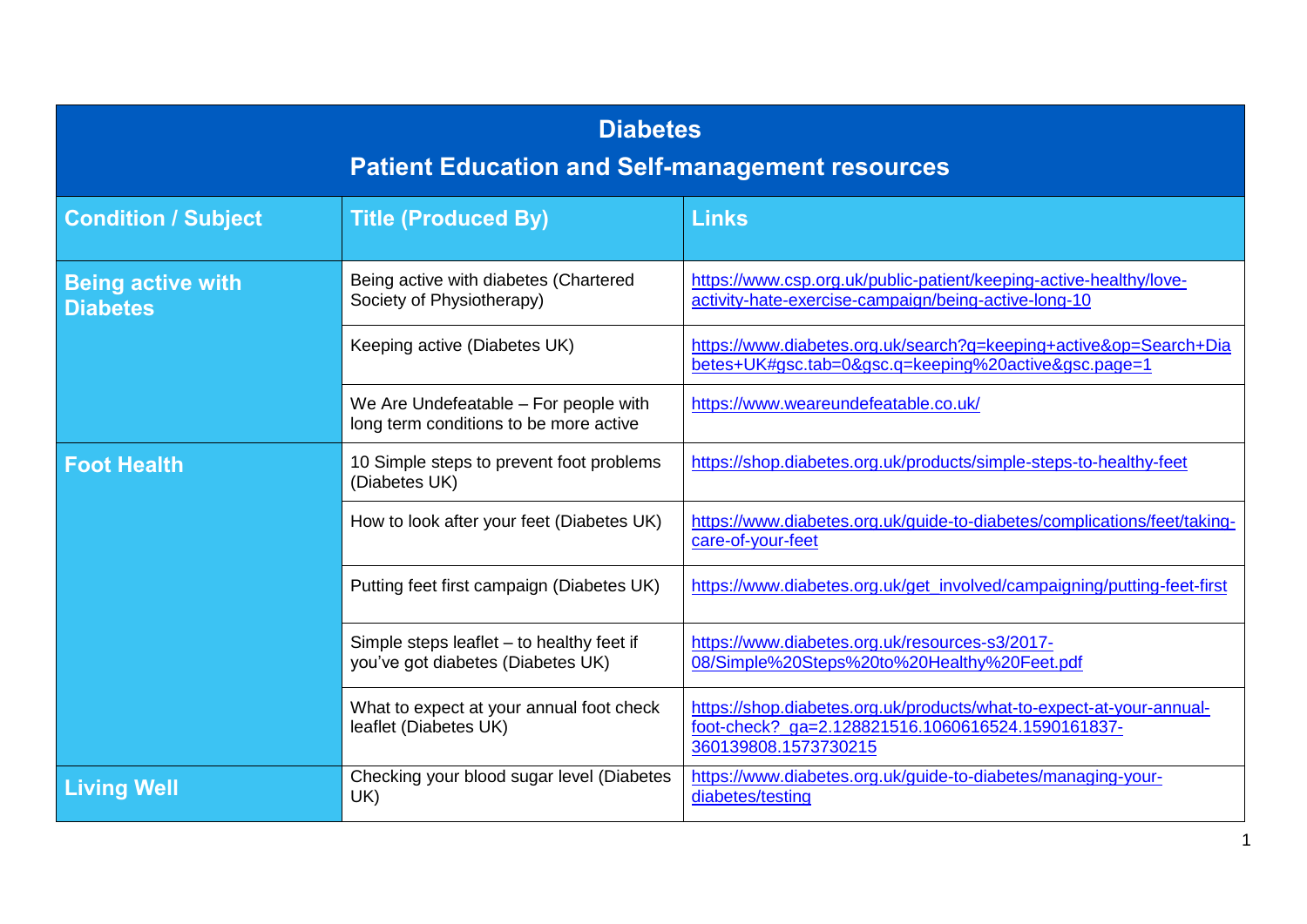| <b>Diabetes</b><br><b>Patient Education and Self-management resources</b> |                                                                                 |                                                                                                                                                   |  |
|---------------------------------------------------------------------------|---------------------------------------------------------------------------------|---------------------------------------------------------------------------------------------------------------------------------------------------|--|
| <b>Condition / Subject</b>                                                | <b>Title (Produced By)</b>                                                      | <b>Links</b>                                                                                                                                      |  |
| <b>Being active with</b><br><b>Diabetes</b>                               | Being active with diabetes (Chartered<br>Society of Physiotherapy)              | https://www.csp.org.uk/public-patient/keeping-active-healthy/love-<br>activity-hate-exercise-campaign/being-active-long-10                        |  |
|                                                                           | Keeping active (Diabetes UK)                                                    | https://www.diabetes.org.uk/search?q=keeping+active&op=Search+Dia<br>betes+UK#gsc.tab=0&gsc.q=keeping%20active&gsc.page=1                         |  |
|                                                                           | We Are Undefeatable – For people with<br>long term conditions to be more active | https://www.weareundefeatable.co.uk/                                                                                                              |  |
| <b>Foot Health</b>                                                        | 10 Simple steps to prevent foot problems<br>(Diabetes UK)                       | https://shop.diabetes.org.uk/products/simple-steps-to-healthy-feet                                                                                |  |
|                                                                           | How to look after your feet (Diabetes UK)                                       | https://www.diabetes.org.uk/guide-to-diabetes/complications/feet/taking-<br>care-of-your-feet                                                     |  |
|                                                                           | Putting feet first campaign (Diabetes UK)                                       | https://www.diabetes.org.uk/get_involved/campaigning/putting-feet-first                                                                           |  |
|                                                                           | Simple steps leaflet - to healthy feet if<br>you've got diabetes (Diabetes UK)  | https://www.diabetes.org.uk/resources-s3/2017-<br>08/Simple%20Steps%20to%20Healthy%20Feet.pdf                                                     |  |
|                                                                           | What to expect at your annual foot check<br>leaflet (Diabetes UK)               | https://shop.diabetes.org.uk/products/what-to-expect-at-your-annual-<br>foot-check?_ga=2.128821516.1060616524.1590161837-<br>360139808.1573730215 |  |
| <b>Living Well</b>                                                        | Checking your blood sugar level (Diabetes<br>UK)                                | https://www.diabetes.org.uk/guide-to-diabetes/managing-your-<br>diabetes/testing                                                                  |  |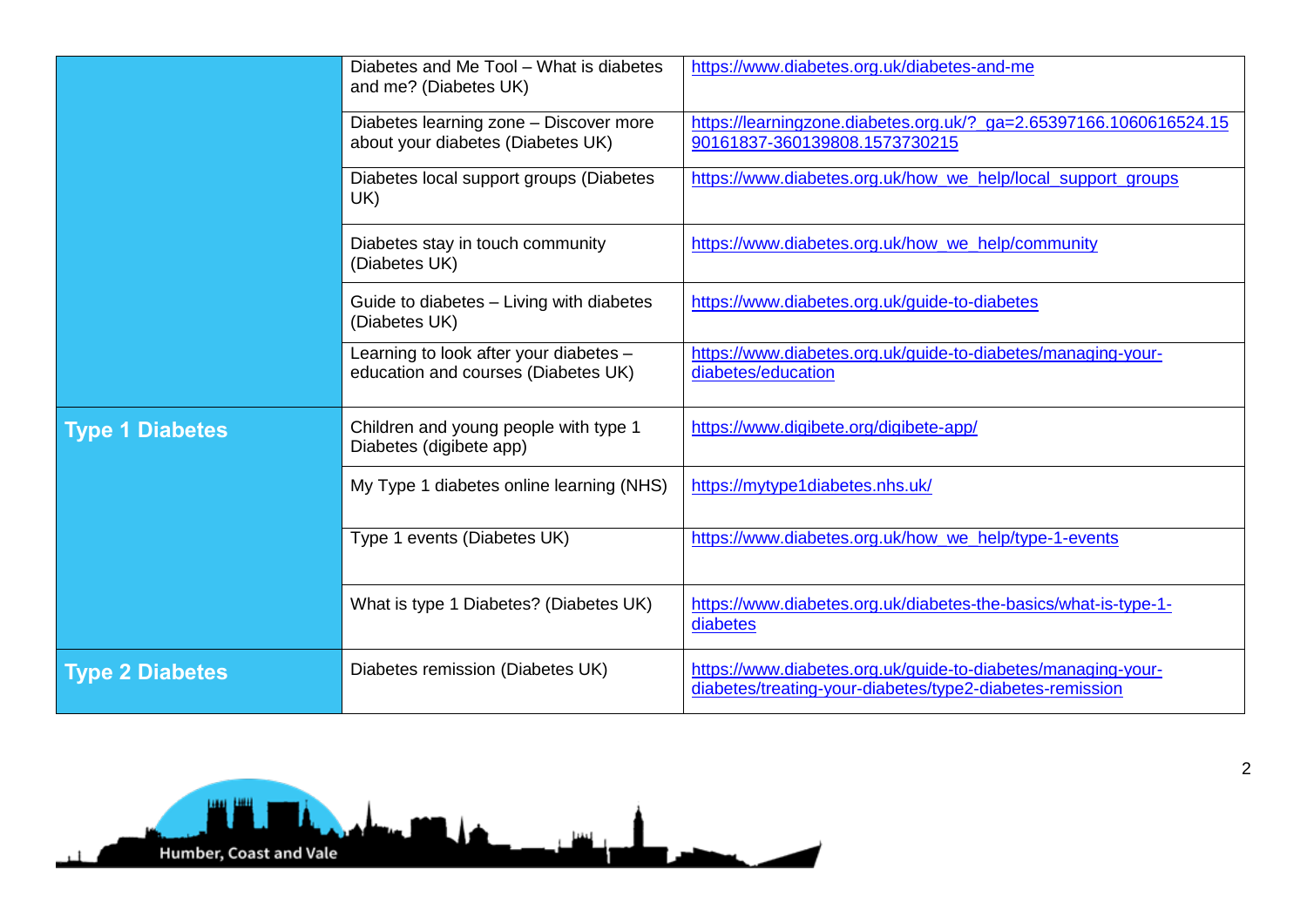|                        | Diabetes and Me Tool - What is diabetes<br>and me? (Diabetes UK)              | https://www.diabetes.org.uk/diabetes-and-me                                                                              |
|------------------------|-------------------------------------------------------------------------------|--------------------------------------------------------------------------------------------------------------------------|
|                        | Diabetes learning zone - Discover more<br>about your diabetes (Diabetes UK)   | https://learningzone.diabetes.org.uk/? ga=2.65397166.1060616524.15<br>90161837-360139808.1573730215                      |
|                        | Diabetes local support groups (Diabetes<br>UK)                                | https://www.diabetes.org.uk/how_we_help/local_support_groups                                                             |
|                        | Diabetes stay in touch community<br>(Diabetes UK)                             | https://www.diabetes.org.uk/how_we_help/community                                                                        |
|                        | Guide to diabetes - Living with diabetes<br>(Diabetes UK)                     | https://www.diabetes.org.uk/guide-to-diabetes                                                                            |
|                        | Learning to look after your diabetes -<br>education and courses (Diabetes UK) | https://www.diabetes.org.uk/guide-to-diabetes/managing-your-<br>diabetes/education                                       |
| <b>Type 1 Diabetes</b> | Children and young people with type 1<br>Diabetes (digibete app)              | https://www.digibete.org/digibete-app/                                                                                   |
|                        | My Type 1 diabetes online learning (NHS)                                      | https://mytype1diabetes.nhs.uk/                                                                                          |
|                        | Type 1 events (Diabetes UK)                                                   | https://www.diabetes.org.uk/how we help/type-1-events                                                                    |
|                        | What is type 1 Diabetes? (Diabetes UK)                                        | https://www.diabetes.org.uk/diabetes-the-basics/what-is-type-1-<br>diabetes                                              |
| <b>Type 2 Diabetes</b> | Diabetes remission (Diabetes UK)                                              | https://www.diabetes.org.uk/guide-to-diabetes/managing-your-<br>diabetes/treating-your-diabetes/type2-diabetes-remission |